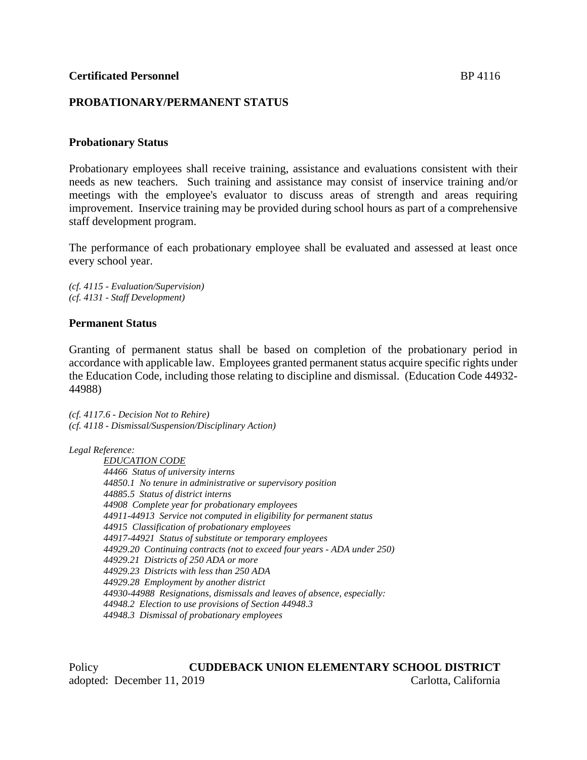# **PROBATIONARY/PERMANENT STATUS**

### **Probationary Status**

Probationary employees shall receive training, assistance and evaluations consistent with their needs as new teachers. Such training and assistance may consist of inservice training and/or meetings with the employee's evaluator to discuss areas of strength and areas requiring improvement. Inservice training may be provided during school hours as part of a comprehensive staff development program.

The performance of each probationary employee shall be evaluated and assessed at least once every school year.

*(cf. 4115 - Evaluation/Supervision) (cf. 4131 - Staff Development)*

### **Permanent Status**

Granting of permanent status shall be based on completion of the probationary period in accordance with applicable law. Employees granted permanent status acquire specific rights under the Education Code, including those relating to discipline and dismissal. (Education Code 44932- 44988)

*(cf. 4117.6 - Decision Not to Rehire) (cf. 4118 - Dismissal/Suspension/Disciplinary Action)*

*Legal Reference:*

*EDUCATION CODE 44466 Status of university interns 44850.1 No tenure in administrative or supervisory position 44885.5 Status of district interns 44908 Complete year for probationary employees 44911-44913 Service not computed in eligibility for permanent status 44915 Classification of probationary employees 44917-44921 Status of substitute or temporary employees 44929.20 Continuing contracts (not to exceed four years - ADA under 250) 44929.21 Districts of 250 ADA or more 44929.23 Districts with less than 250 ADA 44929.28 Employment by another district 44930-44988 Resignations, dismissals and leaves of absence, especially: 44948.2 Election to use provisions of Section 44948.3 44948.3 Dismissal of probationary employees*

Policy **CUDDEBACK UNION ELEMENTARY SCHOOL DISTRICT** adopted: December 11, 2019 Carlotta, California